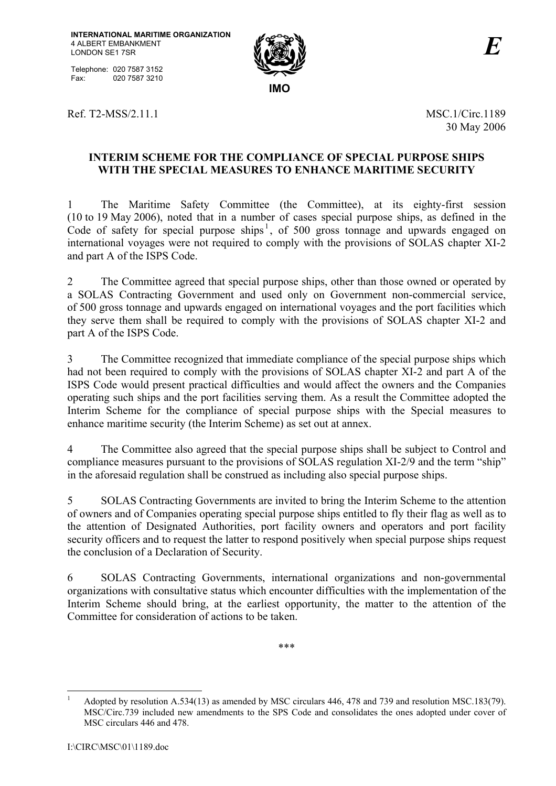Telephone: 020 7587 3152 Fax: 020 7587 3210



Ref. T2-MSS/2.11.1 MSC.1/Circ.1189

30 May 2006

## **INTERIM SCHEME FOR THE COMPLIANCE OF SPECIAL PURPOSE SHIPS WITH THE SPECIAL MEASURES TO ENHANCE MARITIME SECURITY**

1 The Maritime Safety Committee (the Committee), at its eighty-first session (10 to 19 May 2006), noted that in a number of cases special purpose ships, as defined in the Code of safety for special purpose ships<sup>1</sup>, of 500 gross tonnage and upwards engaged on international voyages were not required to comply with the provisions of SOLAS chapter XI-2 and part A of the ISPS Code.

2 The Committee agreed that special purpose ships, other than those owned or operated by a SOLAS Contracting Government and used only on Government non-commercial service, of 500 gross tonnage and upwards engaged on international voyages and the port facilities which they serve them shall be required to comply with the provisions of SOLAS chapter XI-2 and part A of the ISPS Code.

3 The Committee recognized that immediate compliance of the special purpose ships which had not been required to comply with the provisions of SOLAS chapter XI-2 and part A of the ISPS Code would present practical difficulties and would affect the owners and the Companies operating such ships and the port facilities serving them. As a result the Committee adopted the Interim Scheme for the compliance of special purpose ships with the Special measures to enhance maritime security (the Interim Scheme) as set out at annex.

4 The Committee also agreed that the special purpose ships shall be subject to Control and compliance measures pursuant to the provisions of SOLAS regulation XI-2/9 and the term "ship" in the aforesaid regulation shall be construed as including also special purpose ships.

5 SOLAS Contracting Governments are invited to bring the Interim Scheme to the attention of owners and of Companies operating special purpose ships entitled to fly their flag as well as to the attention of Designated Authorities, port facility owners and operators and port facility security officers and to request the latter to respond positively when special purpose ships request the conclusion of a Declaration of Security.

6 SOLAS Contracting Governments, international organizations and non-governmental organizations with consultative status which encounter difficulties with the implementation of the Interim Scheme should bring, at the earliest opportunity, the matter to the attention of the Committee for consideration of actions to be taken.

\*\*\*

 $\overline{a}$ 1 Adopted by resolution A.534(13) as amended by MSC circulars 446, 478 and 739 and resolution MSC.183(79). MSC/Circ.739 included new amendments to the SPS Code and consolidates the ones adopted under cover of MSC circulars 446 and 478.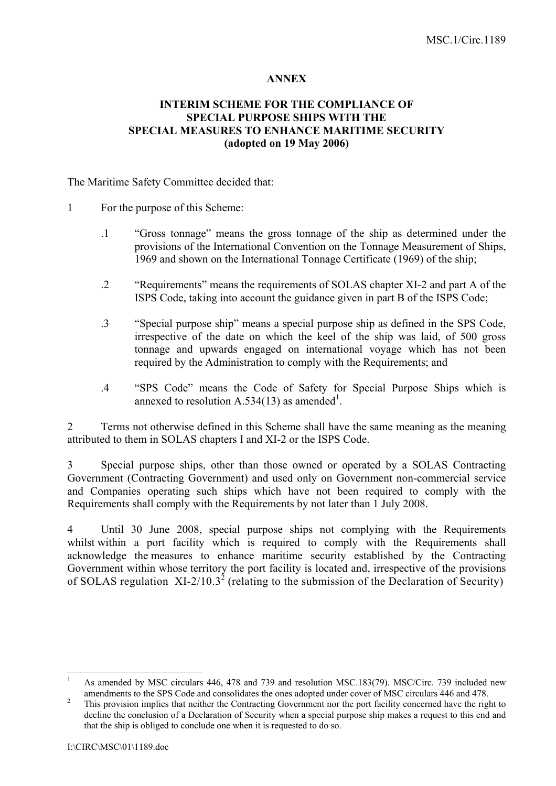## **ANNEX**

## **INTERIM SCHEME FOR THE COMPLIANCE OF SPECIAL PURPOSE SHIPS WITH THE SPECIAL MEASURES TO ENHANCE MARITIME SECURITY (adopted on 19 May 2006)**

The Maritime Safety Committee decided that:

- 1 For the purpose of this Scheme:
	- .1 "Gross tonnage" means the gross tonnage of the ship as determined under the provisions of the International Convention on the Tonnage Measurement of Ships, 1969 and shown on the International Tonnage Certificate (1969) of the ship;
	- .2 "Requirements" means the requirements of SOLAS chapter XI-2 and part A of the ISPS Code, taking into account the guidance given in part B of the ISPS Code;
	- .3 "Special purpose ship" means a special purpose ship as defined in the SPS Code, irrespective of the date on which the keel of the ship was laid, of 500 gross tonnage and upwards engaged on international voyage which has not been required by the Administration to comply with the Requirements; and
	- .4 "SPS Code" means the Code of Safety for Special Purpose Ships which is annexed to resolution A.534(13) as amended<sup>1</sup>.

2 Terms not otherwise defined in this Scheme shall have the same meaning as the meaning attributed to them in SOLAS chapters I and XI-2 or the ISPS Code.

3 Special purpose ships, other than those owned or operated by a SOLAS Contracting Government (Contracting Government) and used only on Government non-commercial service and Companies operating such ships which have not been required to comply with the Requirements shall comply with the Requirements by not later than 1 July 2008.

4 Until 30 June 2008, special purpose ships not complying with the Requirements whilst within a port facility which is required to comply with the Requirements shall acknowledge the measures to enhance maritime security established by the Contracting Government within whose territory the port facility is located and, irrespective of the provisions of SOLAS regulation XI-2/10.3<sup>2</sup> (relating to the submission of the Declaration of Security)

 $\overline{a}$ 

<sup>1</sup> As amended by MSC circulars 446, 478 and 739 and resolution MSC.183(79). MSC/Circ. 739 included new amendments to the SPS Code and consolidates the ones adopted under cover of MSC circulars 446 and 478.

This provision implies that neither the Contracting Government nor the port facility concerned have the right to decline the conclusion of a Declaration of Security when a special purpose ship makes a request to this end and that the ship is obliged to conclude one when it is requested to do so.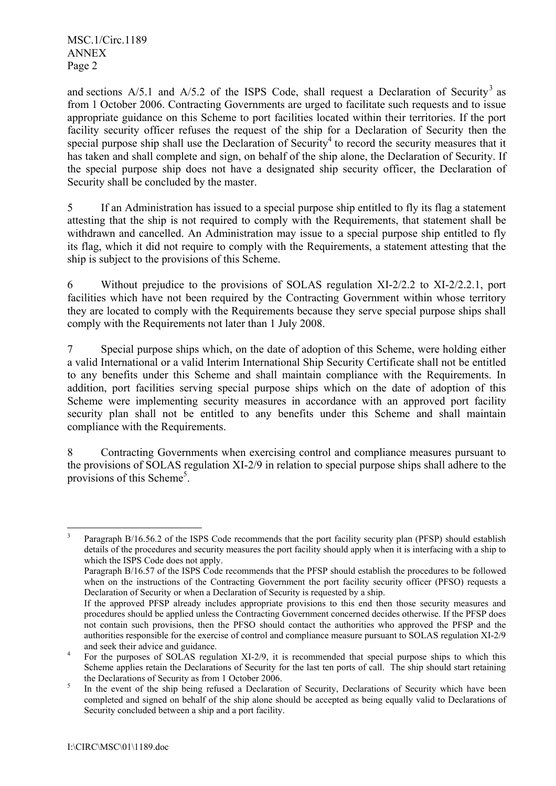MSC.1/Circ.1189 ANNEX Page 2

and sections  $A/5.1$  and  $A/5.2$  of the ISPS Code, shall request a Declaration of Security<sup>3</sup> as from 1 October 2006. Contracting Governments are urged to facilitate such requests and to issue appropriate guidance on this Scheme to port facilities located within their territories. If the port facility security officer refuses the request of the ship for a Declaration of Security then the special purpose ship shall use the Declaration of Security<sup>4</sup> to record the security measures that it has taken and shall complete and sign, on behalf of the ship alone, the Declaration of Security. If the special purpose ship does not have a designated ship security officer, the Declaration of Security shall be concluded by the master.

5 If an Administration has issued to a special purpose ship entitled to fly its flag a statement attesting that the ship is not required to comply with the Requirements, that statement shall be withdrawn and cancelled. An Administration may issue to a special purpose ship entitled to fly its flag, which it did not require to comply with the Requirements, a statement attesting that the ship is subject to the provisions of this Scheme.

6 Without prejudice to the provisions of SOLAS regulation XI-2/2.2 to XI-2/2.2.1, port facilities which have not been required by the Contracting Government within whose territory they are located to comply with the Requirements because they serve special purpose ships shall comply with the Requirements not later than 1 July 2008.

7 Special purpose ships which, on the date of adoption of this Scheme, were holding either a valid International or a valid Interim International Ship Security Certificate shall not be entitled to any benefits under this Scheme and shall maintain compliance with the Requirements. In addition, port facilities serving special purpose ships which on the date of adoption of this Scheme were implementing security measures in accordance with an approved port facility security plan shall not be entitled to any benefits under this Scheme and shall maintain compliance with the Requirements.

8 Contracting Governments when exercising control and compliance measures pursuant to the provisions of SOLAS regulation XI-2/9 in relation to special purpose ships shall adhere to the provisions of this Scheme<sup>5</sup>.

 3 Paragraph B/16.56.2 of the ISPS Code recommends that the port facility security plan (PFSP) should establish details of the procedures and security measures the port facility should apply when it is interfacing with a ship to which the ISPS Code does not apply.

Paragraph B/16.57 of the ISPS Code recommends that the PFSP should establish the procedures to be followed when on the instructions of the Contracting Government the port facility security officer (PFSO) requests a Declaration of Security or when a Declaration of Security is requested by a ship.

If the approved PFSP already includes appropriate provisions to this end then those security measures and procedures should be applied unless the Contracting Government concerned decides otherwise. If the PFSP does not contain such provisions, then the PFSO should contact the authorities who approved the PFSP and the authorities responsible for the exercise of control and compliance measure pursuant to SOLAS regulation XI-2/9 and seek their advice and guidance. 4

For the purposes of SOLAS regulation XI-2/9, it is recommended that special purpose ships to which this Scheme applies retain the Declarations of Security for the last ten ports of call. The ship should start retaining the Declarations of Security as from 1 October 2006.

In the event of the ship being refused a Declaration of Security, Declarations of Security which have been completed and signed on behalf of the ship alone should be accepted as being equally valid to Declarations of Security concluded between a ship and a port facility.